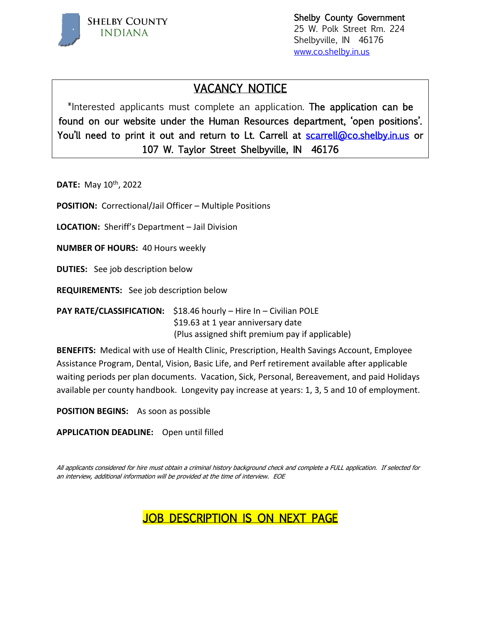

 Shelby County Government 25 W. Polk Street Rm. 224 Shelbyville, IN 46176 [www.co.shelby.in.us](http://www.co.shelby.in.us/)

# VACANCY NOTICE

\*Interested applicants must complete an application. The application can be found on our website under the Human Resources department, 'open positions'. You'll need to print it out and return to Lt. Carrell at [scarrell@co.shelby.in.us](mailto:scarrell@co.shelby.in.us) or 107 W. Taylor Street Shelbyville, IN 46176

**DATE:** May 10<sup>th</sup>, 2022

**POSITION:** Correctional/Jail Officer – Multiple Positions

**LOCATION:** Sheriff's Department – Jail Division

**NUMBER OF HOURS:** 40 Hours weekly

**DUTIES:** See job description below

**REQUIREMENTS:** See job description below

**PAY RATE/CLASSIFICATION:** \$18.46 hourly – Hire In – Civilian POLE \$19.63 at 1 year anniversary date (Plus assigned shift premium pay if applicable)

**BENEFITS:** Medical with use of Health Clinic, Prescription, Health Savings Account, Employee Assistance Program, Dental, Vision, Basic Life, and Perf retirement available after applicable waiting periods per plan documents. Vacation, Sick, Personal, Bereavement, and paid Holidays available per county handbook. Longevity pay increase at years: 1, 3, 5 and 10 of employment.

**POSITION BEGINS:** As soon as possible

**APPLICATION DEADLINE:** Open until filled

All applicants considered for hire must obtain a criminal history background check and complete a FULL application. If selected for an interview, additional information will be provided at the time of interview. EOE

# JOB DESCRIPTION IS ON NEXT PAGE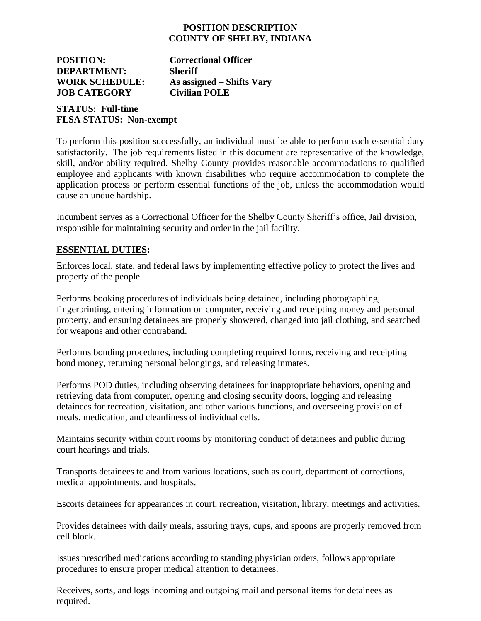### **POSITION DESCRIPTION COUNTY OF SHELBY, INDIANA**

**POSITION: Correctional Officer DEPARTMENT: Sheriff WORK SCHEDULE: As assigned – Shifts Vary JOB CATEGORY Civilian POLE** 

## **STATUS: Full-time FLSA STATUS: Non-exempt**

To perform this position successfully, an individual must be able to perform each essential duty satisfactorily. The job requirements listed in this document are representative of the knowledge, skill, and/or ability required. Shelby County provides reasonable accommodations to qualified employee and applicants with known disabilities who require accommodation to complete the application process or perform essential functions of the job, unless the accommodation would cause an undue hardship.

Incumbent serves as a Correctional Officer for the Shelby County Sheriff's office, Jail division, responsible for maintaining security and order in the jail facility.

## **ESSENTIAL DUTIES:**

Enforces local, state, and federal laws by implementing effective policy to protect the lives and property of the people.

Performs booking procedures of individuals being detained, including photographing, fingerprinting, entering information on computer, receiving and receipting money and personal property, and ensuring detainees are properly showered, changed into jail clothing, and searched for weapons and other contraband.

Performs bonding procedures, including completing required forms, receiving and receipting bond money, returning personal belongings, and releasing inmates.

Performs POD duties, including observing detainees for inappropriate behaviors, opening and retrieving data from computer, opening and closing security doors, logging and releasing detainees for recreation, visitation, and other various functions, and overseeing provision of meals, medication, and cleanliness of individual cells.

Maintains security within court rooms by monitoring conduct of detainees and public during court hearings and trials.

Transports detainees to and from various locations, such as court, department of corrections, medical appointments, and hospitals.

Escorts detainees for appearances in court, recreation, visitation, library, meetings and activities.

Provides detainees with daily meals, assuring trays, cups, and spoons are properly removed from cell block.

Issues prescribed medications according to standing physician orders, follows appropriate procedures to ensure proper medical attention to detainees.

Receives, sorts, and logs incoming and outgoing mail and personal items for detainees as required.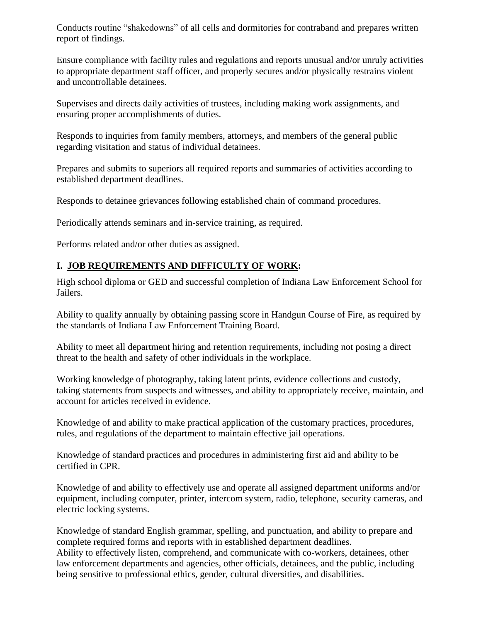Conducts routine "shakedowns" of all cells and dormitories for contraband and prepares written report of findings.

Ensure compliance with facility rules and regulations and reports unusual and/or unruly activities to appropriate department staff officer, and properly secures and/or physically restrains violent and uncontrollable detainees.

Supervises and directs daily activities of trustees, including making work assignments, and ensuring proper accomplishments of duties.

Responds to inquiries from family members, attorneys, and members of the general public regarding visitation and status of individual detainees.

Prepares and submits to superiors all required reports and summaries of activities according to established department deadlines.

Responds to detainee grievances following established chain of command procedures.

Periodically attends seminars and in-service training, as required.

Performs related and/or other duties as assigned.

## **I. JOB REQUIREMENTS AND DIFFICULTY OF WORK:**

High school diploma or GED and successful completion of Indiana Law Enforcement School for Jailers.

Ability to qualify annually by obtaining passing score in Handgun Course of Fire, as required by the standards of Indiana Law Enforcement Training Board.

Ability to meet all department hiring and retention requirements, including not posing a direct threat to the health and safety of other individuals in the workplace.

Working knowledge of photography, taking latent prints, evidence collections and custody, taking statements from suspects and witnesses, and ability to appropriately receive, maintain, and account for articles received in evidence.

Knowledge of and ability to make practical application of the customary practices, procedures, rules, and regulations of the department to maintain effective jail operations.

Knowledge of standard practices and procedures in administering first aid and ability to be certified in CPR.

Knowledge of and ability to effectively use and operate all assigned department uniforms and/or equipment, including computer, printer, intercom system, radio, telephone, security cameras, and electric locking systems.

Knowledge of standard English grammar, spelling, and punctuation, and ability to prepare and complete required forms and reports with in established department deadlines. Ability to effectively listen, comprehend, and communicate with co-workers, detainees, other law enforcement departments and agencies, other officials, detainees, and the public, including being sensitive to professional ethics, gender, cultural diversities, and disabilities.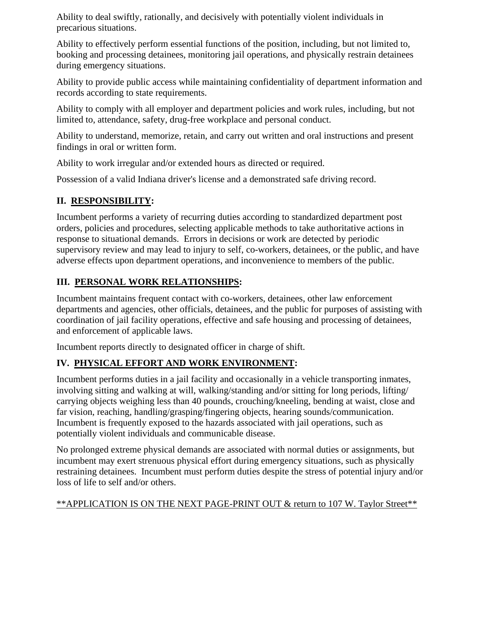Ability to deal swiftly, rationally, and decisively with potentially violent individuals in precarious situations.

Ability to effectively perform essential functions of the position, including, but not limited to, booking and processing detainees, monitoring jail operations, and physically restrain detainees during emergency situations.

Ability to provide public access while maintaining confidentiality of department information and records according to state requirements.

Ability to comply with all employer and department policies and work rules, including, but not limited to, attendance, safety, drug-free workplace and personal conduct.

Ability to understand, memorize, retain, and carry out written and oral instructions and present findings in oral or written form.

Ability to work irregular and/or extended hours as directed or required.

Possession of a valid Indiana driver's license and a demonstrated safe driving record.

## **II. RESPONSIBILITY:**

Incumbent performs a variety of recurring duties according to standardized department post orders, policies and procedures, selecting applicable methods to take authoritative actions in response to situational demands. Errors in decisions or work are detected by periodic supervisory review and may lead to injury to self, co-workers, detainees, or the public, and have adverse effects upon department operations, and inconvenience to members of the public.

## **III. PERSONAL WORK RELATIONSHIPS:**

Incumbent maintains frequent contact with co-workers, detainees, other law enforcement departments and agencies, other officials, detainees, and the public for purposes of assisting with coordination of jail facility operations, effective and safe housing and processing of detainees, and enforcement of applicable laws.

Incumbent reports directly to designated officer in charge of shift.

# **IV. PHYSICAL EFFORT AND WORK ENVIRONMENT:**

Incumbent performs duties in a jail facility and occasionally in a vehicle transporting inmates, involving sitting and walking at will, walking/standing and/or sitting for long periods, lifting/ carrying objects weighing less than 40 pounds, crouching/kneeling, bending at waist, close and far vision, reaching, handling/grasping/fingering objects, hearing sounds/communication. Incumbent is frequently exposed to the hazards associated with jail operations, such as potentially violent individuals and communicable disease.

No prolonged extreme physical demands are associated with normal duties or assignments, but incumbent may exert strenuous physical effort during emergency situations, such as physically restraining detainees. Incumbent must perform duties despite the stress of potential injury and/or loss of life to self and/or others.

#### \*\*APPLICATION IS ON THE NEXT PAGE-PRINT OUT & return to 107 W. Taylor Street\*\*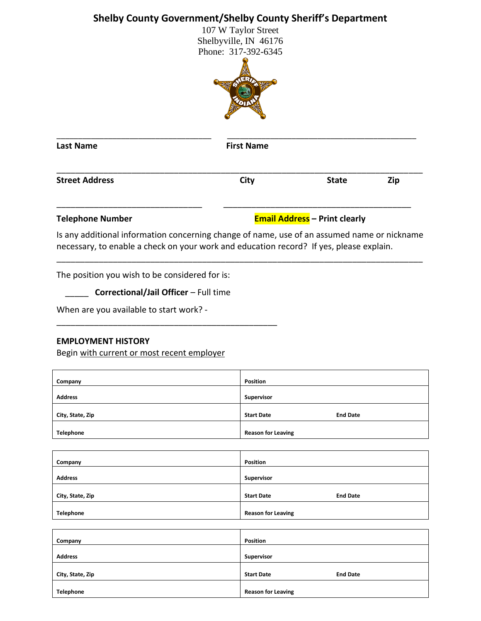# **Shelby County Government/Shelby County Sheriff's Department**

107 W Taylor Street Shelbyville, IN 46176 Phone: 317-392-6345



| <b>Last Name</b>        | <b>First Name</b> |                                      |     |
|-------------------------|-------------------|--------------------------------------|-----|
| <b>Street Address</b>   | City              | <b>State</b>                         | Zip |
| <b>Telephone Number</b> |                   | <b>Email Address</b> - Print clearly |     |

Is any additional information concerning change of name, use of an assumed name or nickname necessary, to enable a check on your work and education record? If yes, please explain.

\_\_\_\_\_\_\_\_\_\_\_\_\_\_\_\_\_\_\_\_\_\_\_\_\_\_\_\_\_\_\_\_\_\_\_\_\_\_\_\_\_\_\_\_\_\_\_\_\_\_\_\_\_\_\_\_\_\_\_\_\_\_\_\_\_\_\_\_\_\_\_\_\_\_\_\_\_\_

The position you wish to be considered for is:

\_\_\_\_\_ **Correctional/Jail Officer** – Full time

\_\_\_\_\_\_\_\_\_\_\_\_\_\_\_\_\_\_\_\_\_\_\_\_\_\_\_\_\_\_\_\_\_\_\_\_\_\_\_\_\_\_\_\_\_\_\_

When are you available to start work? -

#### **EMPLOYMENT HISTORY**

Begin with current or most recent employer

| Company          | <b>Position</b>                      |
|------------------|--------------------------------------|
| <b>Address</b>   | Supervisor                           |
| City, State, Zip | <b>Start Date</b><br><b>End Date</b> |
| <b>Telephone</b> | <b>Reason for Leaving</b>            |

| Company          | <b>Position</b>                      |
|------------------|--------------------------------------|
|                  |                                      |
| <b>Address</b>   | Supervisor                           |
|                  |                                      |
| City, State, Zip | <b>End Date</b><br><b>Start Date</b> |
|                  |                                      |
| Telephone        | <b>Reason for Leaving</b>            |

| Position                             |
|--------------------------------------|
| Supervisor                           |
| <b>End Date</b><br><b>Start Date</b> |
| <b>Reason for Leaving</b>            |
|                                      |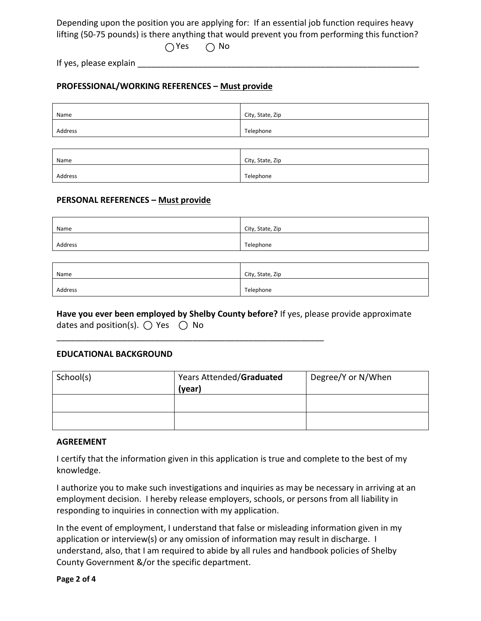Depending upon the position you are applying for: If an essential job function requires heavy lifting (50-75 pounds) is there anything that would prevent you from performing this function?

 $\bigcap$ Yes  $\bigcap$  No

If yes, please explain

#### **PROFESSIONAL/WORKING REFERENCES – Must provide**

| Name    | City, State, Zip |
|---------|------------------|
| Address | Telephone        |
|         |                  |
| Name    | City, State, Zip |
| Address | Telephone        |

#### **PERSONAL REFERENCES – Must provide**

| Name    | City, State, Zip |
|---------|------------------|
| Address | Telephone        |

| Name    | City, State, Zip |
|---------|------------------|
| Address | Telephone        |

#### **Have you ever been employed by Shelby County before?** If yes, please provide approximate dates and position(s).  $\bigcirc$  Yes  $\bigcirc$  No

\_\_\_\_\_\_\_\_\_\_\_\_\_\_\_\_\_\_\_\_\_\_\_\_\_\_\_\_\_\_\_\_\_\_\_\_\_\_\_\_\_\_\_\_\_\_\_\_\_\_\_\_\_\_\_\_\_

#### **EDUCATIONAL BACKGROUND**

| School(s) | Years Attended/Graduated | Degree/Y or N/When |
|-----------|--------------------------|--------------------|
|           | (year)                   |                    |
|           |                          |                    |
|           |                          |                    |
|           |                          |                    |
|           |                          |                    |

#### **AGREEMENT**

I certify that the information given in this application is true and complete to the best of my knowledge.

I authorize you to make such investigations and inquiries as may be necessary in arriving at an employment decision. I hereby release employers, schools, or persons from all liability in responding to inquiries in connection with my application.

In the event of employment, I understand that false or misleading information given in my application or interview(s) or any omission of information may result in discharge. I understand, also, that I am required to abide by all rules and handbook policies of Shelby County Government &/or the specific department.

**Page 2 of 4**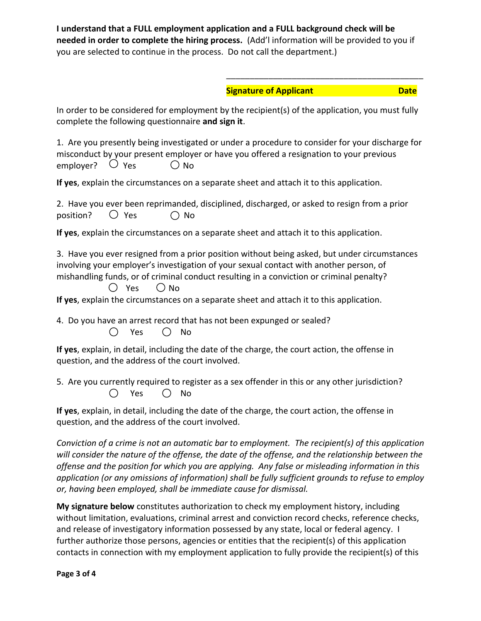**I understand that a FULL employment application and a FULL background check will be needed in order to complete the hiring process.** (Add'l information will be provided to you if you are selected to continue in the process. Do not call the department.)

# \_\_\_\_\_\_\_\_\_\_\_\_\_\_\_\_\_\_\_\_\_\_\_\_\_\_\_\_\_\_\_\_\_\_\_\_\_\_\_\_\_\_ **Signature of Applicant Date Date**

In order to be considered for employment by the recipient(s) of the application, you must fully complete the following questionnaire **and sign it**.

1. Are you presently being investigated or under a procedure to consider for your discharge for misconduct by your present employer or have you offered a resignation to your previous employer?  $\bigcirc$  Yes  $\bigcirc$  No

**If yes**, explain the circumstances on a separate sheet and attach it to this application.

|                          |  | 2. Have you ever been reprimanded, disciplined, discharged, or asked to resign from a prior |  |  |  |
|--------------------------|--|---------------------------------------------------------------------------------------------|--|--|--|
| position? $\bigcirc$ Yes |  | () No                                                                                       |  |  |  |

**If yes**, explain the circumstances on a separate sheet and attach it to this application.

3. Have you ever resigned from a prior position without being asked, but under circumstances involving your employer's investigation of your sexual contact with another person, of mishandling funds, or of criminal conduct resulting in a conviction or criminal penalty?

 $\bigcirc$  Yes  $\bigcirc$  No

**If yes**, explain the circumstances on a separate sheet and attach it to this application.

4. Do you have an arrest record that has not been expunged or sealed?  $\bigcirc$  Yes  $\bigcirc$  No

**If yes**, explain, in detail, including the date of the charge, the court action, the offense in question, and the address of the court involved.

5. Are you currently required to register as a sex offender in this or any other jurisdiction?  $O$  Yes  $O$  No

**If yes**, explain, in detail, including the date of the charge, the court action, the offense in question, and the address of the court involved.

*Conviction of a crime is not an automatic bar to employment. The recipient(s) of this application will consider the nature of the offense, the date of the offense, and the relationship between the offense and the position for which you are applying. Any false or misleading information in this application (or any omissions of information) shall be fully sufficient grounds to refuse to employ or, having been employed, shall be immediate cause for dismissal.* 

**My signature below** constitutes authorization to check my employment history, including without limitation, evaluations, criminal arrest and conviction record checks, reference checks, and release of investigatory information possessed by any state, local or federal agency. I further authorize those persons, agencies or entities that the recipient(s) of this application contacts in connection with my employment application to fully provide the recipient(s) of this